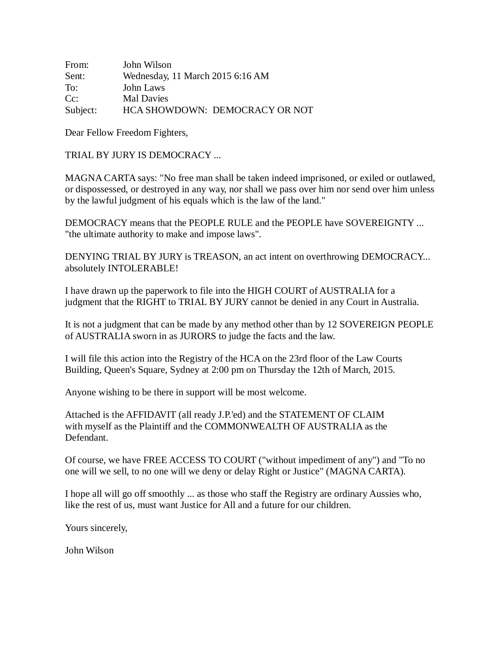| From:    | John Wilson                      |
|----------|----------------------------------|
| Sent:    | Wednesday, 11 March 2015 6:16 AM |
| To:      | John Laws                        |
| Cc:      | Mal Davies                       |
| Subject: | HCA SHOWDOWN: DEMOCRACY OR NOT   |

Dear Fellow Freedom Fighters,

TRIAL BY JURY IS DEMOCRACY ...

MAGNA CARTA says: "No free man shall be taken indeed imprisoned, or exiled or outlawed, or dispossessed, or destroyed in any way, nor shall we pass over him nor send over him unless by the lawful judgment of his equals which is the law of the land."

DEMOCRACY means that the PEOPLE RULE and the PEOPLE have SOVEREIGNTY ... "the ultimate authority to make and impose laws".

DENYING TRIAL BY JURY is TREASON, an act intent on overthrowing DEMOCRACY... absolutely INTOLERABLE!

I have drawn up the paperwork to file into the HIGH COURT of AUSTRALIA for a judgment that the RIGHT to TRIAL BY JURY cannot be denied in any Court in Australia.

It is not a judgment that can be made by any method other than by 12 SOVEREIGN PEOPLE of AUSTRALIA sworn in as JURORS to judge the facts and the law.

I will file this action into the Registry of the HCA on the 23rd floor of the Law Courts Building, Queen's Square, Sydney at 2:00 pm on Thursday the 12th of March, 2015.

Anyone wishing to be there in support will be most welcome.

Attached is the AFFIDAVIT (all ready J.P.'ed) and the STATEMENT OF CLAIM with myself as the Plaintiff and the COMMONWEALTH OF AUSTRALIA as the Defendant.

Of course, we have FREE ACCESS TO COURT ("without impediment of any") and "To no one will we sell, to no one will we deny or delay Right or Justice" (MAGNA CARTA).

I hope all will go off smoothly ... as those who staff the Registry are ordinary Aussies who, like the rest of us, must want Justice for All and a future for our children.

Yours sincerely,

John Wilson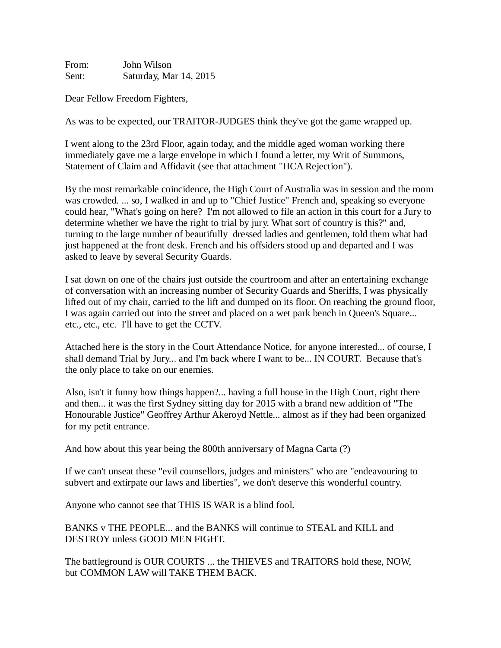From: John Wilson Sent: Saturday, Mar 14, 2015

Dear Fellow Freedom Fighters,

As was to be expected, our TRAITOR-JUDGES think they've got the game wrapped up.

I went along to the 23rd Floor, again today, and the middle aged woman working there immediately gave me a large envelope in which I found a letter, my Writ of Summons, Statement of Claim and Affidavit (see that attachment "HCA Rejection").

By the most remarkable coincidence, the High Court of Australia was in session and the room was crowded. ... so, I walked in and up to "Chief Justice" French and, speaking so everyone could hear, "What's going on here? I'm not allowed to file an action in this court for a Jury to determine whether we have the right to trial by jury. What sort of country is this?" and, turning to the large number of beautifully dressed ladies and gentlemen, told them what had just happened at the front desk. French and his offsiders stood up and departed and I was asked to leave by several Security Guards.

I sat down on one of the chairs just outside the courtroom and after an entertaining exchange of conversation with an increasing number of Security Guards and Sheriffs, I was physically lifted out of my chair, carried to the lift and dumped on its floor. On reaching the ground floor, I was again carried out into the street and placed on a wet park bench in Queen's Square... etc., etc., etc. I'll have to get the CCTV.

Attached here is the story in the Court Attendance Notice, for anyone interested... of course, I shall demand Trial by Jury... and I'm back where I want to be... IN COURT. Because that's the only place to take on our enemies.

Also, isn't it funny how things happen?... having a full house in the High Court, right there and then... it was the first Sydney sitting day for 2015 with a brand new addition of "The Honourable Justice" Geoffrey Arthur Akeroyd Nettle... almost as if they had been organized for my petit entrance.

And how about this year being the 800th anniversary of Magna Carta (?)

If we can't unseat these "evil counsellors, judges and ministers" who are "endeavouring to subvert and extirpate our laws and liberties", we don't deserve this wonderful country.

Anyone who cannot see that THIS IS WAR is a blind fool.

BANKS v THE PEOPLE... and the BANKS will continue to STEAL and KILL and DESTROY unless GOOD MEN FIGHT.

The battleground is OUR COURTS ... the THIEVES and TRAITORS hold these, NOW, but COMMON LAW will TAKE THEM BACK.